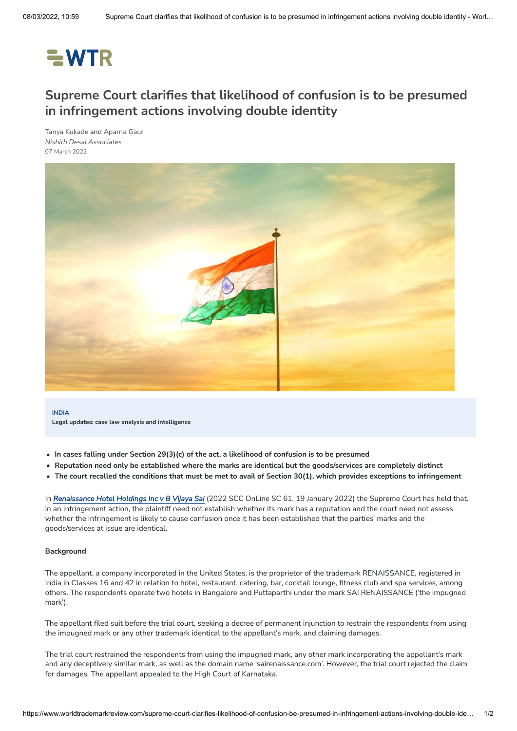# $=$  WTR

# **Supreme Court clarifies that likelihood of confusion is to be presumed in infringement actions involving double identity**

Tanya [Kukade](https://www.worldtrademarkreview.com/authors/tanya-kukade) and [Aparna](https://www.worldtrademarkreview.com/authors/aparna-gaur) Gaur *Nishith Desai [Associates](https://www.worldtrademarkreview.com/organisation/nishith-desai-associates)* 07 March 2022



**INDIA Legal updates: case law analysis and intelligence**

- **In cases falling under Section 29(3)(c) of the act, a likelihood of confusion is to be presumed**
- **Reputation need only be established where the marks are identical but the goods/services are completely distinct**
- The court recalled the conditions that must be met to avail of Section 30(1), which provides exceptions to infringement

In *[Renaissance](https://indiankanoon.org/doc/143185473/) Hotel Holdings Inc v B Vijaya Sai* (2022 SCC OnLine SC 61, 19 January 2022) the Supreme Court has held that, in an infringement action, the plaintiff need not establish whether its mark has a reputation and the court need not assess whether the infringement is likely to cause confusion once it has been established that the parties' marks and the goods/services at issue are identical.

#### **Background**

The appellant, a company incorporated in the United States, is the proprietor of the trademark RENAISSANCE, registered in India in Classes 16 and 42 in relation to hotel, restaurant, catering, bar, cocktail lounge, fitness club and spa services, among others. The respondents operate two hotels in Bangalore and Puttaparthi under the mark SAI RENAISSANCE ('the impugned mark').

The appellant filed suit before the trial court, seeking a decree of permanent injunction to restrain the respondents from using the impugned mark or any other trademark identical to the appellant's mark, and claiming damages.

The trial court restrained the respondents from using the impugned mark, any other mark incorporating the appellant's mark and any deceptively similar mark, as well as the domain name 'sairenaissance.com'. However, the trial court rejected the claim for damages. The appellant appealed to the High Court of Karnataka.